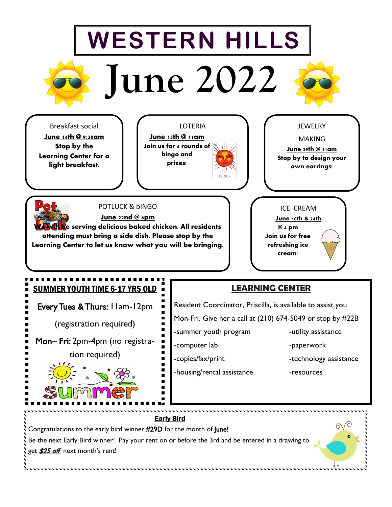